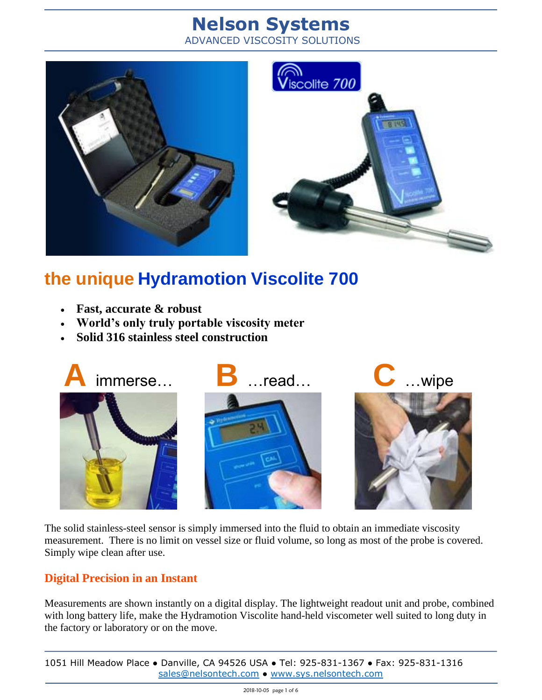# **Nelson Systems**

ADVANCED VISCOSITY SOLUTIONS





# **the unique Hydramotion Viscolite 700**

- **Fast, accurate & robust**
- **World's only truly portable viscosity meter**
- **Solid 316 stainless steel construction**



The solid stainless-steel sensor is simply immersed into the fluid to obtain an immediate viscosity measurement. There is no limit on vessel size or fluid volume, so long as most of the probe is covered. Simply wipe clean after use.

### **Digital Precision in an Instant**

Measurements are shown instantly on a digital display. The lightweight readout unit and probe, combined with long battery life, make the Hydramotion Viscolite hand-held viscometer well suited to long duty in the factory or laboratory or on the move.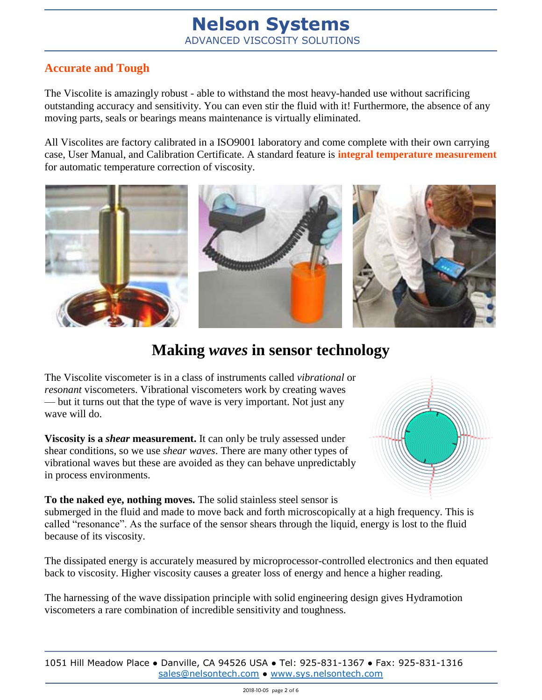### **Accurate and Tough**

The Viscolite is amazingly robust - able to withstand the most heavy-handed use without sacrificing outstanding accuracy and sensitivity. You can even stir the fluid with it! Furthermore, the absence of any moving parts, seals or bearings means maintenance is virtually eliminated.

All Viscolites are factory calibrated in a ISO9001 laboratory and come complete with their own carrying case, User Manual, and Calibration Certificate. A standard feature is **integral temperature measurement** for automatic temperature correction of viscosity.



## **Making** *waves* **in sensor technology**

The Viscolite viscometer is in a class of instruments called *vibrational* or *resonant* viscometers. Vibrational viscometers work by creating waves — but it turns out that the type of wave is very important. Not just any wave will do.

**Viscosity is a** *shear* **measurement.** It can only be truly assessed under shear conditions, so we use *shear waves*. There are many other types of vibrational waves but these are avoided as they can behave unpredictably in process environments.

**To the naked eye, nothing moves.** The solid stainless steel sensor is submerged in the fluid and made to move back and forth microscopically at a high frequency. This is called "resonance". As the surface of the sensor shears through the liquid, energy is lost to the fluid because of its viscosity.

The dissipated energy is accurately measured by microprocessor-controlled electronics and then equated back to viscosity. Higher viscosity causes a greater loss of energy and hence a higher reading.

The harnessing of the wave dissipation principle with solid engineering design gives Hydramotion viscometers a rare combination of incredible sensitivity and toughness.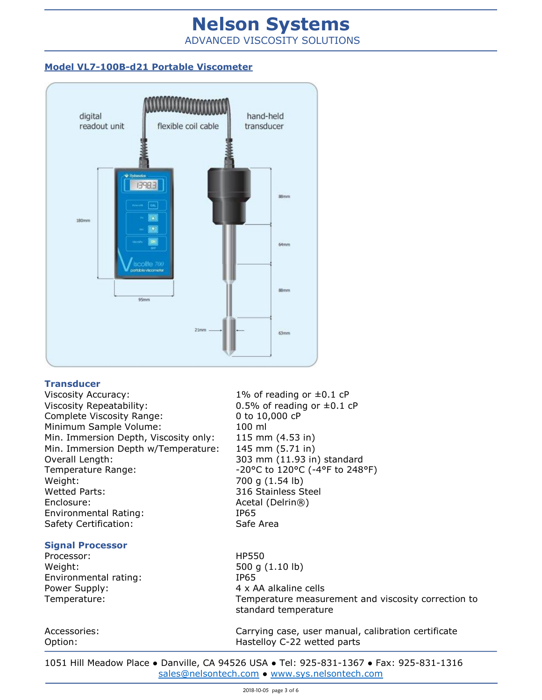## **Nelson Systems** ADVANCED VISCOSITY SOLUTIONS

#### **Model VL7-100B-d21 Portable Viscometer**



#### **Transducer**

Viscosity Accuracy:  $1\%$  of reading or  $\pm 0.1$  cP Viscosity Repeatability:  $0.5\%$  of reading or  $\pm 0.1$  cP Complete Viscosity Range: 0 to 10,000 cP Minimum Sample Volume: 100 ml Min. Immersion Depth, Viscosity only: 115 mm (4.53 in) Min. Immersion Depth w/Temperature: 145 mm (5.71 in) Overall Length: 303 mm (11.93 in) standard Temperature Range:  $-20^{\circ}$ C to  $120^{\circ}$ C (-4°F to  $248^{\circ}$ F) Weight: 700 g (1.54 lb) Wetted Parts: 316 Stainless Steel Enclosure: Acetal (Delrin®) Environmental Rating: IP65 Safety Certification: Safe Area

#### **Signal Processor**

Processor: HP550 Weight: 500 g (1.10 lb) Environmental rating: IP65 Power Supply:  $4 \times AA$  alkaline cells

Temperature: Temperature measurement and viscosity correction to standard temperature

Accessories: Carrying case, user manual, calibration certificate Option: Charles Communist Contract Mastelloy C-22 wetted parts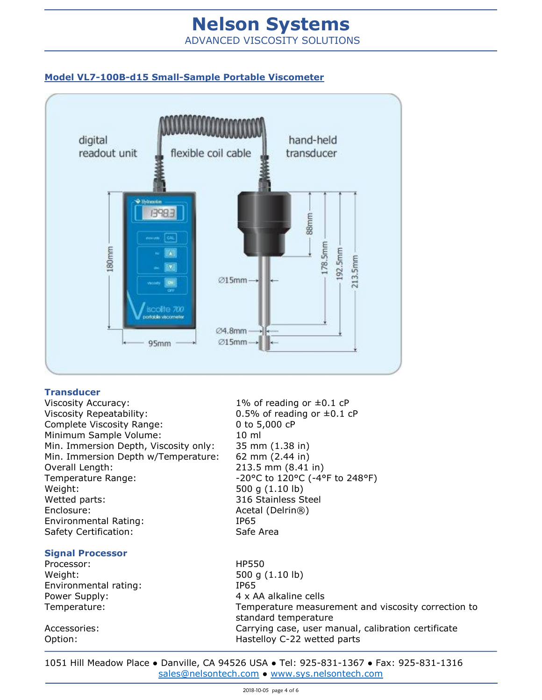## **Nelson Systems** ADVANCED VISCOSITY SOLUTIONS

#### **Model VL7-100B-d15 Small-Sample Portable Viscometer**



#### **Transducer**

Viscosity Accuracy:  $1\%$  of reading or  $\pm 0.1$  cP Viscosity Repeatability:  $0.5\%$  of reading or  $\pm 0.1$  cP Complete Viscosity Range: 0 to 5,000 cP Minimum Sample Volume: 10 ml Min. Immersion Depth, Viscosity only: 35 mm (1.38 in) Min. Immersion Depth w/Temperature: 62 mm (2.44 in) Overall Length: 213.5 mm (8.41 in) Temperature Range:  $-20^{\circ}$ C to  $120^{\circ}$ C (-4°F to  $248^{\circ}$ F) Weight: 500 g (1.10 lb) Wetted parts: 316 Stainless Steel Enclosure: Acetal (Delrin®) Environmental Rating: IP65 Safety Certification: Safe Area

#### **Signal Processor**

Processor: HP550 Weight: 500 g (1.10 lb) Environmental rating: IP65 Power Supply:  $4 \times AA$  alkaline cells

Temperature: Temperature measurement and viscosity correction to standard temperature Accessories: Carrying case, user manual, calibration certificate Option: Changeles Mastelloy C-22 wetted parts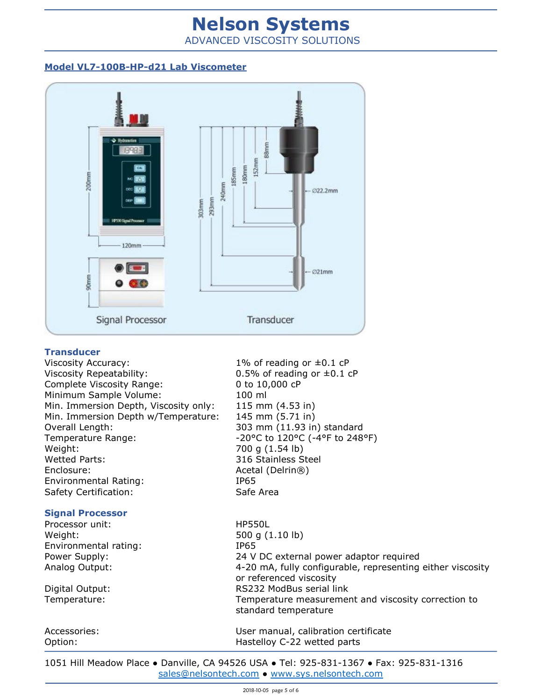# **Nelson Systems**

ADVANCED VISCOSITY SOLUTIONS

#### **Model VL7-100B-HP-d21 Lab Viscometer**



#### **Transducer**

Viscosity Accuracy:  $1\%$  of reading or  $\pm 0.1$  cP Viscosity Repeatability:  $0.5\%$  of reading or  $\pm 0.1$  cP Complete Viscosity Range: 0 to 10,000 cP Minimum Sample Volume: 100 ml Min. Immersion Depth, Viscosity only: 115 mm (4.53 in) Min. Immersion Depth w/Temperature: 145 mm (5.71 in) Overall Length: 303 mm (11.93 in) standard Temperature Range:  $-20^{\circ}$ C to  $120^{\circ}$ C (-4°F to  $248^{\circ}$ F) Weight: 700 g (1.54 lb) Wetted Parts: 316 Stainless Steel Enclosure: Acetal (Delrin®) Environmental Rating: IP65 Safety Certification: Safe Area

#### **Signal Processor**

Processor unit: HP550L Weight: 500 g (1.10 lb) Environmental rating: IP65

Power Supply: 24 V DC external power adaptor required Analog Output: 4-20 mA, fully configurable, representing either viscosity or referenced viscosity Digital Output: RS232 ModBus serial link Temperature: Temperature measurement and viscosity correction to standard temperature

Accessories: User manual, calibration certificate Option: Changeles Mastelloy C-22 wetted parts